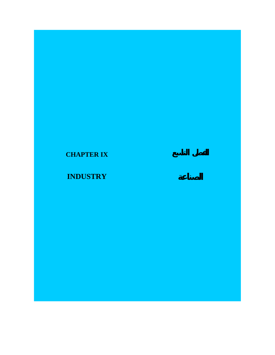# **CHAPTER IX**

# **INDUSTRY**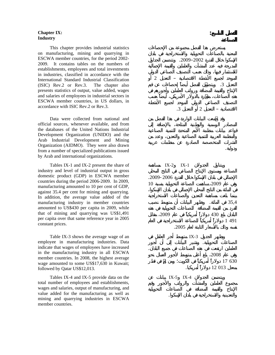#### **Chapter IX: Industry**

 This chapter provides industrial statistics on manufacturing, mining and quarrying in ESCWA member countries, for the period 2002- 2009. It contains tables on the numbers of establishments, employees and total investments in industries, classified in accordance with the International Standard Industrial Classification (ISIC) Rev.2 or Rev.3. The chapter also presents statistics of output, value added, wages and salaries of employees in industrial sectors in ESCWA member countries, in US dollars, in accordance with ISIC Rev.2 or Rev.3.

 Data were collected from national and official sources, whenever available, and from the databases of the United Nations Industrial Development Organization (UNIDO) and the Arab Industrial Development and Mining Organization (AIDMO). They were also drawn from a number of specialized publications issued by Arab and international organizations.

 Tables IX-1 and IX-2 present the share of industry and level of industrial output in gross domestic product (GDP) in ESCWA member countries during the period 2006-2009. In 2009, manufacturing amounted to 10 per cent of GDP, against 35.4 per cent for mining and quarrying. In addition, the average value added of the manufacturing industry in member countries amounted to US\$430 per capita in 2009, while that of mining and quarrying was US\$1,491 per capita over that same reference year in 2005 constant prices.

 Table IX-3 shows the average wage of an employee in manufacturing industries. Data indicate that wages of employees have increased in the manufacturing industry in all ESCWA member countries. In 2008, the highest average wage amounted to some US\$17,630 in Kuwait; followed by Qatar US\$12,013.

 Tables IX-4 and IX-5 provide data on the total number of employees and establishments, wages and salaries, output of manufacturing, and value added for the manufacturing as well as mining and quarrying industries in ESCWA member countries.

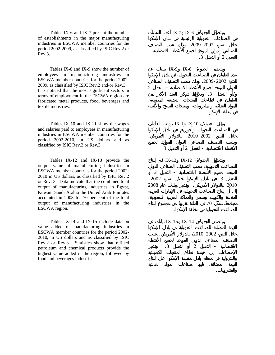Tables IX-6 and IX-7 present the number of establishments in the major manufacturing industries in ESCWA member countries for the period 2002-2009, as classified by ISIC Rev.2 or Rev.3.

 Tables IX-8 and IX-9 show the number of employees in manufacturing industries in ESCWA member countries for the period 2002- 2009, as classified by ISIC Rev.2 and/or Rev.3. It is noticed that the most significant sectors in terms of employment in the ESCWA region are fabricated metal products, food, beverages and textile industries.

 Tables IX-10 and IX-11 show the wages and salaries paid to employees in manufacturing industries in ESCWA member countries for the period 2002-2010, in US dollars and as classified by ISIC Rev.2 or Rev.3.

 Tables IX-12 and IX-13 provide the output value of manufacturing industries in ESCWA member countries for the period 2002- 2010 in US dollars, as classified by ISIC Rev.2 or Rev. 3. Data indicate that the combined total output of manufacturing industries in Egypt, Kuwait, Saudi Arabia the United Arab Emirates accounted in 2008 for 70 per cent of the total output of manufacturing industries in the ESCWA region.

 Tables IX-14 and IX-15 include data on value added of manufacturing industries in ESCWA member countries for the period 2002- 2010, in US dollars and as classified by ISIC Rev.2 or Rev.3. Statistics show that refined petroleum and chemical products provide the highest value added in the region, followed by food and beverages industries.

خلال الفترة 2009-2002 وذلك حسب التصنيف الصناعي الدولي الموحد لجميع الأنشطة الاقتصادية –  $\overline{3}$   $\overline{2}$  $IX-9$   $IX-8$ 2009-2002  $\overline{2}$  - $\,3\,$   $\,$ في منطقة الإسكوا. IX-1 IX-10 خلال لفترة 2010-2002 بالدولار الأمريكي، الأنشطة الاقتصادية - التعديل 2 أو التعديل .3 IX-13 IX-12  $\overline{2}$   $\overline{2}$   $\overline{2}$   $\overline{2}$   $\overline{2}$   $\overline{2}$   $\overline{2}$   $\overline{2}$   $\overline{2}$   $\overline{2}$   $\overline{2}$   $\overline{2}$   $\overline{2}$   $\overline{2}$   $\overline{2}$   $\overline{2}$   $\overline{2}$   $\overline{2}$   $\overline{2}$   $\overline{2}$   $\overline{2}$   $\overline{2}$   $\overline{2}$   $\overline{2}$   $\overline{$ التعديل 3 في بلدان الإسكوا خلال الفترة -2002 2010 بالدولار الأمريكي. وتشير بيانات عام 2008 مجتمعةً، شكّل 70 في المائة تقريباً من مجموع إنتاج الصناعات التحويلية في منطقة الإسكوا.  $IX-15$   $IX-14$ 2010-2002

 $IX-7$   $IX-6$ 

 $\overline{3}$   $\overline{2}$   $\overline{2}$   $\overline{3}$ 

والمشروبات.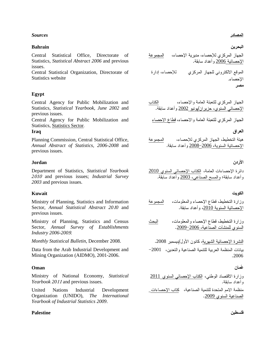#### *Sources*

### **Bahrain**

Central Statistical Office, Directorate of Statistics, *Statistical Abstract 2006* and previous issues.

Central Statistical Organization, Directorate of Statistics website

## **Egypt**

Central Agency for Public Mobilization and Statistics, *Statistical Yearbook, June 2002* and previous issues.

Central Agency for Public Mobilization and Statistics, Statistics Sector.

## **Iraq**

Planning Commission, Central Statistical Office, *Annual Abstract of Statistics, 2006-2008* and previous issues.

## **Jordan**

Department of Statistics, *Statistical Yearbook 2*<sup>010</sup> and previous issues; *Industrial Survey 2003* and previous issues.

## **Kuwait**

Ministry of Planning, Statistics and Information Sector, *Annual Statistical Abstract 20*1*0* and previous issues.

Ministry of Planning, Statistics and Census Sector, *Annual Survey of Establishments Industry 2006-200*9.

Data from the Arab Industrial Development and Mining Organization (AIDMO), 2001-2006.

## **Oman**

*Yearbook 20*<sup>11</sup> and previous issues.

United Nations Industrial Development Organization (UNIDO), *The International Yearbook of Industrial Statistics 2009*.

#### **Palestine**

المصادر

# البحرين

الجهاز المركزي للإحصاء، مديرية الإحصاء، المجموعة الإحصائية <u>2006</u> وأعداد سابقة.

الموقع الالكتروني للجهاز المركزي للإحصاء، إدارة الإحصاء. مصر

2002

الجهاز المركزي للتعبئة العامة والاحصاء، قطاع الاحصاء

#### العراق

هيئة التخطيط، الجهاز المركزي للإحصاء،<br>الإحصائية السنوية، 2<u>006</u>–<u>2008</u> وأعداد سابقة.

## الأردن

دائرة الإحصاءات العامة، الكتاب الإحصائي السنوى 2010 وأعداد سابقة؛ والمسح الصناعي، 2003 وأعداد سابقة.

#### الكويت

| المجموعة | وزارة التخطيط، قطاع الإحصاء والمعلومات، |
|----------|-----------------------------------------|
|          | الإحصائية السنوية 2010، وأعداد سابقة.   |

البحث وزارة التخطيط، قطاع الإحصاء والمعلومات، السنوى للمنشآت الصناعية، 2006–2009.

*Monthly Statistical Bulletin*, December 2008. 2008

بيانات المنظمة العربية للنتمية الصناعية والتعدين، 2001<sup>—</sup> 2006

#### غمان

Ministry of National Economy, *Statistical* 2011 و أعداد سابقة.

> منظمة الامم المتحدة للتتمية الصناعية، كتاب الإحصاءات\_ الصناعية السنوى 2009.

> > فلسطين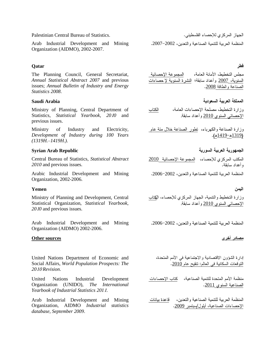Palestinian Central Bureau of Statistics.

Organization (AIDMO), 2002-2007.

# **Qatar**

The Planning Council, General Secretariat, *Annual Statistical Abstract 2007* and previous issues; *Annual Bulletin of Industry and Energy Statistics 2008*.

# **Saudi Arabia**

Ministry of Planning, Central Department of Statistics, *Statistical Yearbook, 20*1*0* and previous issues.

Ministry of Industry and Electricity, *Development of Industry during 100 Years (1319H.–1419H.)*.

#### **Syrian Arab Republic**

*2010* and previous issues.

Arabic Industrial Development and Mining 2006 2002 Organization, 2002-2006.

#### **Yemen**

Ministry of Planning and Development, Central Statistical Organization, *Statistical Yearbook, 20*1*0* and previous issues.

Organization (AIDMO) 2002-2006.

#### **Other sources**

United Nations Department of Economic and Social Affairs, *World Population Prospects: The 20*<sup>10</sup> *Revision*.

United Nations Industrial Development Organization (UNIDO), *The International Yearbook of Industrial Statistics 201*1.

Arab Industrial Development and Mining Organization, AIDMO *Industrial statistics database, September 2009*.

الجهاز المركز ي للإحصاء الفلسطيني. Arab Industrial Development and Mining 2007 2002

# قطر

مجلس التخطيط، الأمانة العامة، ﴿ الْمَجِمْوِعَةِ الإحصائيةِ السنوية، <u>2007</u> وأعداد سابقة؛ النشرة السنوية لإ حصاءات الصناعة والطاقة 2008.

# المملكة العرببة السعودبة

وزارة التخطبط، مصلحة الاحصاءات العامة، الكتاب الإحصائي السنوي 2010 وأعداد سابقة.

وزارة الصناعة والكهرباء، نطور الصناعة خلال مئة عام  $(41419 - 1319)$ 

الجمهورية العربية السورية

Central Bureau of Statistics, *Statistical Abstract* 2010 وأعداد سابقة.

#### اليمن

وزارة التخطيط والتتمية، الجهاز المركزي للإحصاء، الكتاب الإحصائي السنوي 2010 و أعداد سابقة.

Arab Industrial Development and Mining 2006 2002

# <u>مصادر أخرى</u>

إدارة الشؤون الاقتصادية والاجتماعية في الأمم المتحدة، النوفعات السكانية في العالم: نتقيح عام 2010.

منظمة الأمم المتحدة للتنمية الصناعية، كتاب الإحصاءات الصناعية السنوى 2011.

المنظمة العريبة للتتمية الصيناعية والتعدين، وقاعدة ببانات الإحصاءات الصناعية، أيلول/سبتمبر 2009.